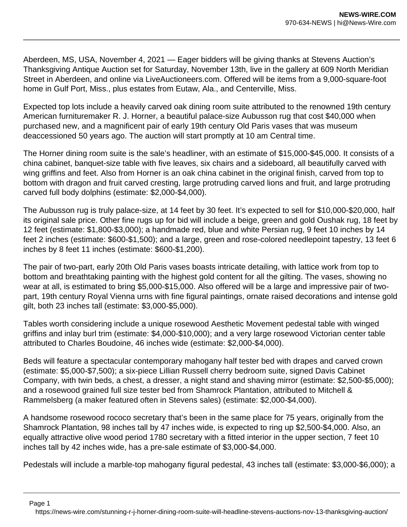Aberdeen, MS, USA, November 4, 2021 — Eager bidders will be giving thanks at Stevens Auction's Thanksgiving Antique Auction set for Saturday, November 13th, live in the gallery at 609 North Meridian Street in Aberdeen, and online via LiveAuctioneers.com. Offered will be items from a 9,000-square-foot home in Gulf Port, Miss., plus estates from Eutaw, Ala., and Centerville, Miss.

Expected top lots include a heavily carved oak dining room suite attributed to the renowned 19th century American furnituremaker R. J. Horner, a beautiful palace-size Aubusson rug that cost \$40,000 when purchased new, and a magnificent pair of early 19th century Old Paris vases that was museum deaccessioned 50 years ago. The auction will start promptly at 10 am Central time.

The Horner dining room suite is the sale's headliner, with an estimate of \$15,000-\$45,000. It consists of a china cabinet, banquet-size table with five leaves, six chairs and a sideboard, all beautifully carved with wing griffins and feet. Also from Horner is an oak china cabinet in the original finish, carved from top to bottom with dragon and fruit carved cresting, large protruding carved lions and fruit, and large protruding carved full body dolphins (estimate: \$2,000-\$4,000).

The Aubusson rug is truly palace-size, at 14 feet by 30 feet. It's expected to sell for \$10,000-\$20,000, half its original sale price. Other fine rugs up for bid will include a beige, green and gold Oushak rug, 18 feet by 12 feet (estimate: \$1,800-\$3,000); a handmade red, blue and white Persian rug, 9 feet 10 inches by 14 feet 2 inches (estimate: \$600-\$1,500); and a large, green and rose-colored needlepoint tapestry, 13 feet 6 inches by 8 feet 11 inches (estimate: \$600-\$1,200).

The pair of two-part, early 20th Old Paris vases boasts intricate detailing, with lattice work from top to bottom and breathtaking painting with the highest gold content for all the gilting. The vases, showing no wear at all, is estimated to bring \$5,000-\$15,000. Also offered will be a large and impressive pair of twopart, 19th century Royal Vienna urns with fine figural paintings, ornate raised decorations and intense gold gilt, both 23 inches tall (estimate: \$3,000-\$5,000).

Tables worth considering include a unique rosewood Aesthetic Movement pedestal table with winged griffins and inlay burl trim (estimate: \$4,000-\$10,000); and a very large rosewood Victorian center table attributed to Charles Boudoine, 46 inches wide (estimate: \$2,000-\$4,000).

Beds will feature a spectacular contemporary mahogany half tester bed with drapes and carved crown (estimate: \$5,000-\$7,500); a six-piece Lillian Russell cherry bedroom suite, signed Davis Cabinet Company, with twin beds, a chest, a dresser, a night stand and shaving mirror (estimate: \$2,500-\$5,000); and a rosewood grained full size tester bed from Shamrock Plantation, attributed to Mitchell & Rammelsberg (a maker featured often in Stevens sales) (estimate: \$2,000-\$4,000).

A handsome rosewood rococo secretary that's been in the same place for 75 years, originally from the Shamrock Plantation, 98 inches tall by 47 inches wide, is expected to ring up \$2,500-\$4,000. Also, an equally attractive olive wood period 1780 secretary with a fitted interior in the upper section, 7 feet 10 inches tall by 42 inches wide, has a pre-sale estimate of \$3,000-\$4,000.

Pedestals will include a marble-top mahogany figural pedestal, 43 inches tall (estimate: \$3,000-\$6,000); a

Page 1

https://news-wire.com/stunning-r-j-horner-dining-room-suite-will-headline-stevens-auctions-nov-13-thanksgiving-auction/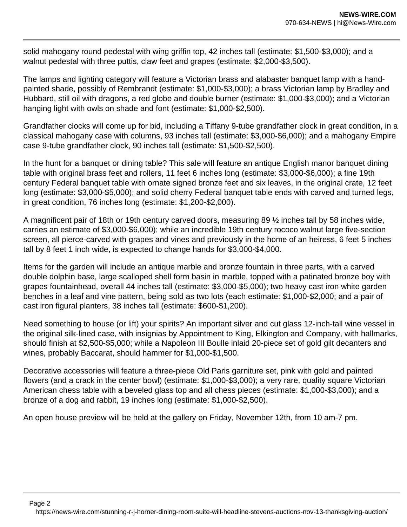solid mahogany round pedestal with wing griffin top, 42 inches tall (estimate: \$1,500-\$3,000); and a walnut pedestal with three puttis, claw feet and grapes (estimate: \$2,000-\$3,500).

The lamps and lighting category will feature a Victorian brass and alabaster banquet lamp with a handpainted shade, possibly of Rembrandt (estimate: \$1,000-\$3,000); a brass Victorian lamp by Bradley and Hubbard, still oil with dragons, a red globe and double burner (estimate: \$1,000-\$3,000); and a Victorian hanging light with owls on shade and font (estimate: \$1,000-\$2,500).

Grandfather clocks will come up for bid, including a Tiffany 9-tube grandfather clock in great condition, in a classical mahogany case with columns, 93 inches tall (estimate: \$3,000-\$6,000); and a mahogany Empire case 9-tube grandfather clock, 90 inches tall (estimate: \$1,500-\$2,500).

In the hunt for a banquet or dining table? This sale will feature an antique English manor banquet dining table with original brass feet and rollers, 11 feet 6 inches long (estimate: \$3,000-\$6,000); a fine 19th century Federal banquet table with ornate signed bronze feet and six leaves, in the original crate, 12 feet long (estimate: \$3,000-\$5,000); and solid cherry Federal banquet table ends with carved and turned legs, in great condition, 76 inches long (estimate: \$1,200-\$2,000).

A magnificent pair of 18th or 19th century carved doors, measuring 89 ½ inches tall by 58 inches wide, carries an estimate of \$3,000-\$6,000); while an incredible 19th century rococo walnut large five-section screen, all pierce-carved with grapes and vines and previously in the home of an heiress, 6 feet 5 inches tall by 8 feet 1 inch wide, is expected to change hands for \$3,000-\$4,000.

Items for the garden will include an antique marble and bronze fountain in three parts, with a carved double dolphin base, large scalloped shell form basin in marble, topped with a patinated bronze boy with grapes fountainhead, overall 44 inches tall (estimate: \$3,000-\$5,000); two heavy cast iron white garden benches in a leaf and vine pattern, being sold as two lots (each estimate: \$1,000-\$2,000; and a pair of cast iron figural planters, 38 inches tall (estimate: \$600-\$1,200).

Need something to house (or lift) your spirits? An important silver and cut glass 12-inch-tall wine vessel in the original silk-lined case, with insignias by Appointment to King. Elkington and Company, with hallmarks, should finish at \$2,500-\$5,000; while a Napoleon III Boulle inlaid 20-piece set of gold gilt decanters and wines, probably Baccarat, should hammer for \$1,000-\$1,500.

Decorative accessories will feature a three-piece Old Paris garniture set, pink with gold and painted flowers (and a crack in the center bowl) (estimate: \$1,000-\$3,000); a very rare, quality square Victorian American chess table with a beveled glass top and all chess pieces (estimate: \$1,000-\$3,000); and a bronze of a dog and rabbit, 19 inches long (estimate: \$1,000-\$2,500).

An open house preview will be held at the gallery on Friday, November 12th, from 10 am-7 pm.

Page 2

https://news-wire.com/stunning-r-j-horner-dining-room-suite-will-headline-stevens-auctions-nov-13-thanksgiving-auction/